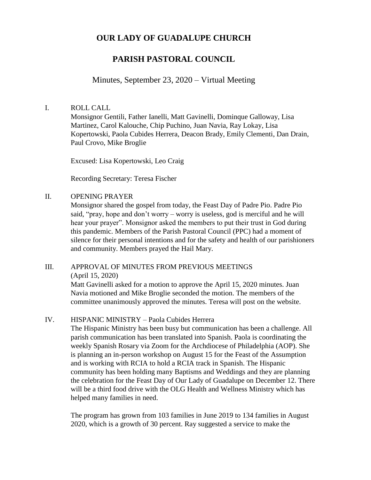# **OUR LADY OF GUADALUPE CHURCH**

# **PARISH PASTORAL COUNCIL**

# Minutes, September 23, 2020 – Virtual Meeting

## I. ROLL CALL

Monsignor Gentili, Father Ianelli, Matt Gavinelli, Dominque Galloway, Lisa Martinez, Carol Kalouche, Chip Puchino, Juan Navia, Ray Lokay, Lisa Kopertowski, Paola Cubides Herrera, Deacon Brady, Emily Clementi, Dan Drain, Paul Crovo, Mike Broglie

Excused: Lisa Kopertowski, Leo Craig

Recording Secretary: Teresa Fischer

## II. OPENING PRAYER

Monsignor shared the gospel from today, the Feast Day of Padre Pio. Padre Pio said, "pray, hope and don't worry – worry is useless, god is merciful and he will hear your prayer". Monsignor asked the members to put their trust in God during this pandemic. Members of the Parish Pastoral Council (PPC) had a moment of silence for their personal intentions and for the safety and health of our parishioners and community. Members prayed the Hail Mary.

## III. APPROVAL OF MINUTES FROM PREVIOUS MEETINGS (April 15, 2020)

Matt Gavinelli asked for a motion to approve the April 15, 2020 minutes. Juan Navia motioned and Mike Broglie seconded the motion. The members of the committee unanimously approved the minutes. Teresa will post on the website.

### IV. HISPANIC MINISTRY – Paola Cubides Herrera

The Hispanic Ministry has been busy but communication has been a challenge. All parish communication has been translated into Spanish. Paola is coordinating the weekly Spanish Rosary via Zoom for the Archdiocese of Philadelphia (AOP). She is planning an in-person workshop on August 15 for the Feast of the Assumption and is working with RCIA to hold a RCIA track in Spanish. The Hispanic community has been holding many Baptisms and Weddings and they are planning the celebration for the Feast Day of Our Lady of Guadalupe on December 12. There will be a third food drive with the OLG Health and Wellness Ministry which has helped many families in need.

The program has grown from 103 families in June 2019 to 134 families in August 2020, which is a growth of 30 percent. Ray suggested a service to make the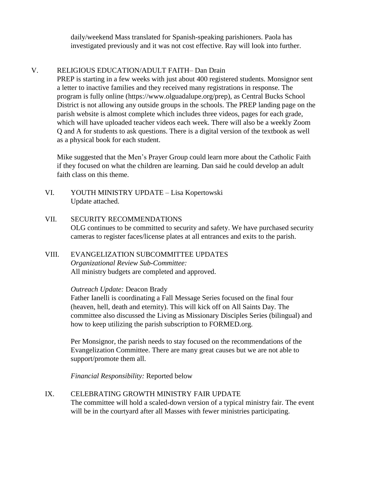daily/weekend Mass translated for Spanish-speaking parishioners. Paola has investigated previously and it was not cost effective. Ray will look into further.

# V. RELIGIOUS EDUCATION/ADULT FAITH– Dan Drain

PREP is starting in a few weeks with just about 400 registered students. Monsignor sent a letter to inactive families and they received many registrations in response. The program is fully online (https://www.olguadalupe.org/prep), as Central Bucks School District is not allowing any outside groups in the schools. The PREP landing page on the parish website is almost complete which includes three videos, pages for each grade, which will have uploaded teacher videos each week. There will also be a weekly Zoom Q and A for students to ask questions. There is a digital version of the textbook as well as a physical book for each student.

Mike suggested that the Men's Prayer Group could learn more about the Catholic Faith if they focused on what the children are learning. Dan said he could develop an adult faith class on this theme.

- VI. YOUTH MINISTRY UPDATE Lisa Kopertowski Update attached.
- VII. SECURITY RECOMMENDATIONS OLG continues to be committed to security and safety. We have purchased security cameras to register faces/license plates at all entrances and exits to the parish.

# VIII. EVANGELIZATION SUBCOMMITTEE UPDATES *Organizational Review Sub-Committee:*  All ministry budgets are completed and approved.

## *Outreach Update:* Deacon Brady

Father Ianelli is coordinating a Fall Message Series focused on the final four (heaven, hell, death and eternity). This will kick off on All Saints Day. The committee also discussed the Living as Missionary Disciples Series (bilingual) and how to keep utilizing the parish subscription to FORMED.org.

Per Monsignor, the parish needs to stay focused on the recommendations of the Evangelization Committee. There are many great causes but we are not able to support/promote them all.

*Financial Responsibility:* Reported below

IX. CELEBRATING GROWTH MINISTRY FAIR UPDATE The committee will hold a scaled-down version of a typical ministry fair. The event will be in the courtyard after all Masses with fewer ministries participating.